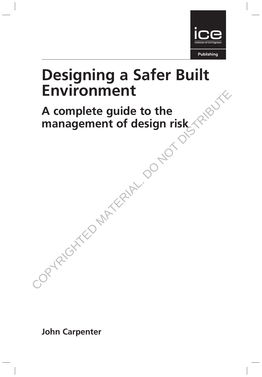

# Designing a Safer Built Environment

# A complete guide to the management of design risk Environment<br>A complete guide to the<br>management of design risk<br> $\sim$  0 Not distributed by the condition of the conditions of the conditions of the conditions of the conditions of the conditions of the conditions of the condi

John Carpenter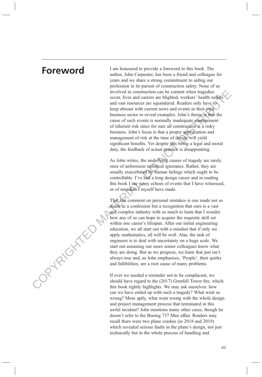COPYRIGHTED MATER

**Foreword** I am honoured to provide a foreword to this book. The author, John Carpenter, has been a friend and colleague for years and we share a strong commitment to aiding our profession in its pursuit of construction safety. None of us involved in construction can be content when tragedies occur, lives and careers are blighted, workers' health suffers and vast resources are squandered. Readers only have to keep abreast with current news and events in their own business sector to reveal examples. John's theme is that the cause of such events is normally inadequate management of inherent risk since for sure all construction is a risky business. John's focus is that a proper appreciation and management of risk at the time of design will yield significant benefits. Yet despite this being a legal and moral duty, the feedback of actual practice is disappointing.

> As John writes, the underlying causes of tragedy are rarely ones of unforeseen technical ignorance. Rather, they are usually exacerbated by human failings which ought to be controllable. I've had a long design career and in reading this book I see many echoes of events that I have witnessed, or of mistakes I myself have made.

That last comment on personal mistakes is one made not so much as a confession but a recognition that ours is a vast and complex industry with so much to learn that I wonder how any of us can hope to acquire the requisite skill set within one career's lifespan. After our initial engineering education, we all start out with a mindset that if only we apply mathematics, all will be well. Alas, the task of engineers is to deal with uncertainty on a huge scale. We start out assuming our more senior colleagues know what they are doing. But as we progress, we learn that just isn't always true and, as John emphasises, 'People', their quirks and fallibilities, are a root cause of many problems.

If ever we needed a reminder not to be complacent, we should have regard to the (2017) Grenfell Tower fire, which this book rightly highlights. We may ask ourselves: how can we have ended up with such a tragedy? What went so wrong? More aptly, what went wrong with the whole design and project management process that terminated in this awful incident? John mentions many other cases, though he doesn't refer to the Boeing 737 Max affair. Readers may recall there were two plane crashes (in 2018 and 2019) which revealed serious faults in the plane's design, not just technically but in the whole process of handling and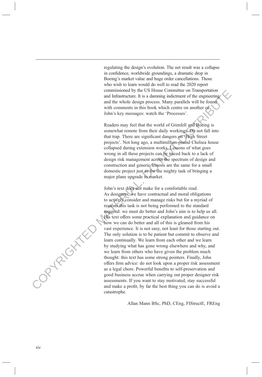regulating the design's evolution. The net result was a collapse in confidence, worldwide groundings, a dramatic drop in Boeing's market value and huge order cancellations. Those who wish to learn would do well to read the 2020 report commissioned by the US House Committee on Transportation and Infrastructure. It is a damning indictment of the engineering and the whole design process. Many parallels will be found with comments in this book which centre on another of John's key messages: watch the 'Processes'.

Readers may feel that the world of Grenfell and Boeing is somewhat remote from their daily workings. Do not fall into that trap. There are significant dangers on 'High Street projects'. Not long ago, a multimillion-pound Chelsea house collapsed during extension works. Lessons of what goes wrong in all these projects can be traced back to a lack of design risk management across the spectrum of design and construction and generic lessons are the same for a small domestic project just as for the mighty task of bringing a major plane upgrade to market.

John's text does not make for a comfortable read. As designers, we have contractual and moral obligations to actively consider and manage risks but for a myriad of reasons this task is not being performed to the standard required: we must do better and John's aim is to help us all. His text offers some practical explanation and guidance on how we can do better and all of this is gleaned from his vast experience. It is not easy, not least for those starting out. The only solution is to be patient but commit to observe and learn continually. We learn from each other and we learn by studying what has gone wrong elsewhere and why, and we learn from others who have given the problem much thought: this text has some strong pointers. Finally, John offers firm advice: do not look upon a proper risk assessment as a legal chore. Powerful benefits to self-preservation and good business accrue when carrying out proper designer risk assessments. If you want to stay motivated, stay successful and make a profit, by far the best thing you can do is avoid a catastrophe. commissioned by the SUS is commissioned by the constrained and incredible with connects in this book which center on another of the whole design process. Many parallels will be found to the connect of the stress of the str

Allan Mann BSc, PhD, CEng, FIStructE, FREng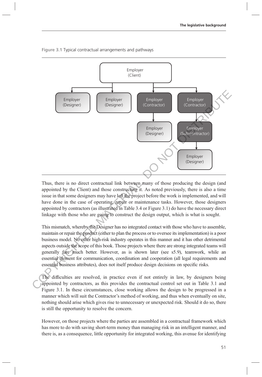

Figure 3.1 Typical contractual arrangements and pathways

Thus, there is no direct contractual link between many of those producing the design (and appointed by the Client) and those constructing it. As noted previously, there is also a time issue in that some designers may have left the project before the work is implemented, and will have done in the case of operating, repair or maintenance tasks. However, those designers appointed by contractors (as illustrated in Table 3.4 or Figure 3.1) do have the necessary direct linkage with those who are going to construct the design output, which is what is sought.

This mismatch, whereby the Designer has no integrated contact with those who have to assemble, maintain or repair the product (either to plan the process or to oversee its implementation) is a poor business model. No other high-risk industry operates in this manner and it has other detrimental aspects outside the scope of this book. Those projects where there are strong integrated teams will generally fare much better. However, as is shown later (see s5.9), teamwork, while an essential element for communication, coordination and cooperation (all legal requirements and essential business attributes), does not itself produce design decisions on specific risks.

The difficulties are resolved, in practice even if not entirely in law, by designers being appointed by contractors, as this provides the contractual control set out in Table 3.1 and Figure 3.1. In these circumstances, close working allows the design to be progressed in a manner which will suit the Contractor's method of working, and thus when eventually on site, nothing should arise which gives rise to unnecessary or unexpected risk. Should it do so, there is still the opportunity to resolve the concern.

However, on those projects where the parties are assembled in a contractual framework which has more to do with saving short-term money than managing risk in an intelligent manner, and there is, as a consequence, little opportunity for integrated working, this avenue for identifying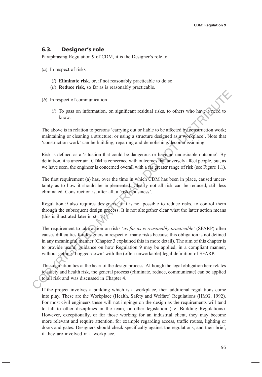## 6.3. Designer's role

Paraphrasing Regulation 9 of CDM, it is the Designer's role to

- (a) In respect of risks
	- $(i)$  Eliminate risk, or, if not reasonably practicable to do so
	- (ii) Reduce risk, so far as is reasonably practicable.
- (b) In respect of communication
	- (i) To pass on information, on significant residual risks, to others who have a need to know.

The above is in relation to persons 'carrying out or liable to be affected by construction work; maintaining or cleaning a structure; or using a structure designed as a workplace'. Note that 'construction work' can be building, repairing and demolishing/decommissioning.

Risk is defined as a 'situation that could be dangerous or have an undesirable outcome'. By definition, it is uncertain. CDM is concerned with outcomes that adversely affect people, but, as we have seen, the engineer is concerned overall with a far greater range of risk (see Figure 1.1).

The first requirement (a) has, over the time in which CDM has been in place, caused uncertainty as to how it should be implemented. Clearly not all risk can be reduced, still less eliminated. Construction is, after all, a 'risky business'.

Regulation 9 also requires designers, if it is not possible to reduce risks, to control them through the subsequent design process. It is not altogether clear what the latter action means (this is illustrated later in s6.15).

The requirement to take action on risks 'as far as is reasonably practicable' (SFARP) often causes difficulties for designers in respect of many risks because this obligation is not defined in any meaningful manner (Chapter 3 explained this in more detail). The aim of this chapter is to provide useful guidance on how Regulation 9 may be applied, in a compliant manner, without getting 'bogged-down' with the (often unworkable) legal definition of SFARP. (b) In respect of communication<br>
(f) To pass on information, on significant residual risks, to others who have a have a have the show.<br>
The above is in relation to persons 'carrying out or liable to be affected by constru

This regulation lies at the heart of the design process. Although the legal obligation here relates to safety and health risk, the general process (eliminate, reduce, communicate) can be applied to all risk and was discussed in Chapter 4.

If the project involves a building which is a workplace, then additional regulations come into play. These are the Workplace (Health, Safety and Welfare) Regulations (HMG, 1992). For most civil engineers these will not impinge on the design as the requirements will tend to fall to other disciplines in the team, or other legislation (i.e. Building Regulations). However, exceptionally, or for those working for an industrial client, they may become more relevant and require attention, for example regarding access, traffic routes, lighting or doors and gates. Designers should check specifically against the regulations, and their brief, if they are involved in a workplace.